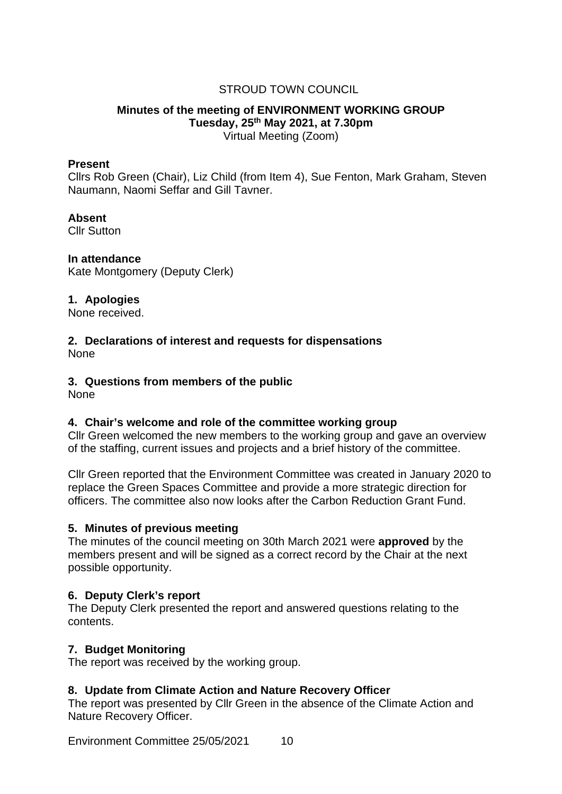# STROUD TOWN COUNCIL

#### **Minutes of the meeting of ENVIRONMENT WORKING GROUP Tuesday, 25th May 2021, at 7.30pm** Virtual Meeting (Zoom)

#### **Present**

Cllrs Rob Green (Chair), Liz Child (from Item 4), Sue Fenton, Mark Graham, Steven Naumann, Naomi Seffar and Gill Tavner.

#### **Absent**

Cllr Sutton

**In attendance** Kate Montgomery (Deputy Clerk)

### **1. Apologies**

None received.

#### **2. Declarations of interest and requests for dispensations** None

### **3. Questions from members of the public**

None

### **4. Chair's welcome and role of the committee working group**

Cllr Green welcomed the new members to the working group and gave an overview of the staffing, current issues and projects and a brief history of the committee.

Cllr Green reported that the Environment Committee was created in January 2020 to replace the Green Spaces Committee and provide a more strategic direction for officers. The committee also now looks after the Carbon Reduction Grant Fund.

### **5. Minutes of previous meeting**

The minutes of the council meeting on 30th March 2021 were **approved** by the members present and will be signed as a correct record by the Chair at the next possible opportunity.

### **6. Deputy Clerk's report**

The Deputy Clerk presented the report and answered questions relating to the contents.

### **7. Budget Monitoring**

The report was received by the working group.

### **8. Update from Climate Action and Nature Recovery Officer**

The report was presented by Cllr Green in the absence of the Climate Action and Nature Recovery Officer.

Environment Committee 25/05/2021 10